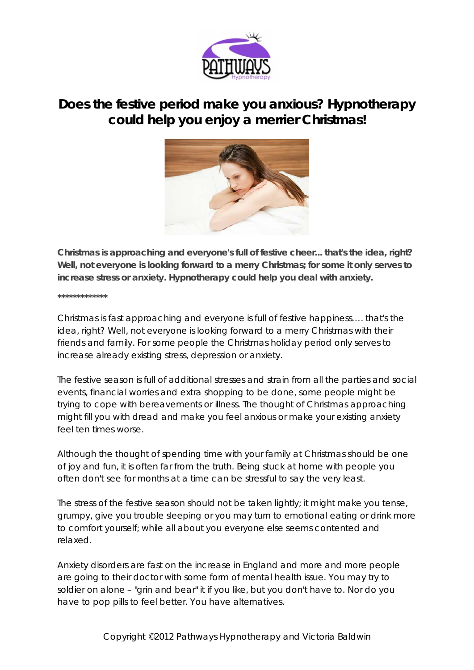

## **Does the festive period make you anxious? Hypnotherapy could help you enjoy a merrier Christmas!**



**Christmas is approaching and everyone's full of festive cheer... that's the idea, right? Well, not everyone is looking forward to a merry Christmas; for some it only serves to increase stress or anxiety. Hypnotherapy could help you deal with anxiety.**

## **\*\*\*\*\*\*\*\*\*\*\*\*\***

Christmas is fast approaching and everyone is full of festive happiness…. that's the idea, right? Well, not everyone is looking forward to a merry Christmas with their friends and family. For some people the Christmas holiday period only serves to increase already existing stress, depression or anxiety.

The festive season is full of additional stresses and strain from all the parties and social events, financial worries and extra shopping to be done, some people might be trying to cope with bereavements or illness. The thought of Christmas approaching might fill you with dread and make you feel anxious or make your existing anxiety feel ten times worse.

Although the thought of spending time with your family at Christmas should be one of joy and fun, it is often far from the truth. Being stuck at home with people you often don't see for months at a time can be stressful to say the very least.

The stress of the festive season should not be taken lightly; it might make you tense, grumpy, give you trouble sleeping or you may turn to emotional eating or drink more to comfort yourself; while all about you everyone else seems contented and relaxed.

Anxiety disorders are fast on the increase in England and more and more people are going to their doctor with some form of mental health issue. You may try to soldier on alone – "grin and bear" it if you like, but you don't have to. Nor do you have to pop pills to feel better. You have alternatives.